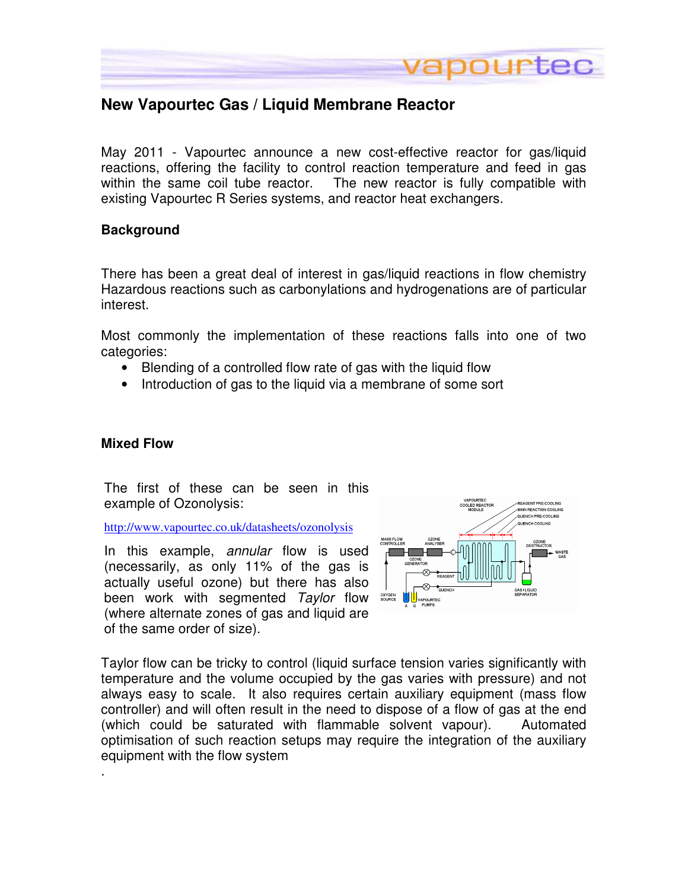

## **New Vapourtec Gas / Liquid Membrane Reactor**

May 2011 - Vapourtec announce a new cost-effective reactor for gas/liquid reactions, offering the facility to control reaction temperature and feed in gas within the same coil tube reactor. The new reactor is fully compatible with existing Vapourtec R Series systems, and reactor heat exchangers.

### **Background**

There has been a great deal of interest in gas/liquid reactions in flow chemistry Hazardous reactions such as carbonylations and hydrogenations are of particular interest.

Most commonly the implementation of these reactions falls into one of two categories:

- Blending of a controlled flow rate of gas with the liquid flow
- Introduction of gas to the liquid via a membrane of some sort

## **Mixed Flow**

.

The first of these can be seen in this example of Ozonolysis:

http://www.vapourtec.co.uk/datasheets/ozonolysis

In this example, *annular* flow is used (necessarily, as only 11% of the gas is actually useful ozone) but there has also been work with segmented Taylor flow (where alternate zones of gas and liquid are of the same order of size).



Taylor flow can be tricky to control (liquid surface tension varies significantly with temperature and the volume occupied by the gas varies with pressure) and not always easy to scale. It also requires certain auxiliary equipment (mass flow controller) and will often result in the need to dispose of a flow of gas at the end (which could be saturated with flammable solvent vapour). Automated optimisation of such reaction setups may require the integration of the auxiliary equipment with the flow system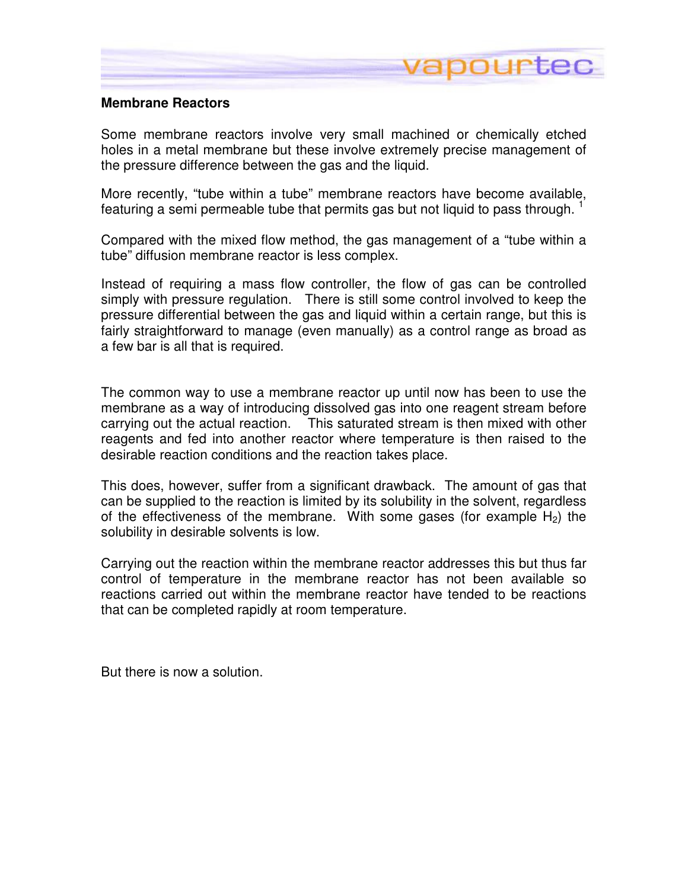

### **Membrane Reactors**

Some membrane reactors involve very small machined or chemically etched holes in a metal membrane but these involve extremely precise management of the pressure difference between the gas and the liquid.

More recently, "tube within a tube" membrane reactors have become available, featuring a semi permeable tube that permits gas but not liquid to pass through.  $1$ 

Compared with the mixed flow method, the gas management of a "tube within a tube" diffusion membrane reactor is less complex.

Instead of requiring a mass flow controller, the flow of gas can be controlled simply with pressure regulation. There is still some control involved to keep the pressure differential between the gas and liquid within a certain range, but this is fairly straightforward to manage (even manually) as a control range as broad as a few bar is all that is required.

The common way to use a membrane reactor up until now has been to use the membrane as a way of introducing dissolved gas into one reagent stream before carrying out the actual reaction. This saturated stream is then mixed with other reagents and fed into another reactor where temperature is then raised to the desirable reaction conditions and the reaction takes place.

This does, however, suffer from a significant drawback. The amount of gas that can be supplied to the reaction is limited by its solubility in the solvent, regardless of the effectiveness of the membrane. With some gases (for example  $H_2$ ) the solubility in desirable solvents is low.

Carrying out the reaction within the membrane reactor addresses this but thus far control of temperature in the membrane reactor has not been available so reactions carried out within the membrane reactor have tended to be reactions that can be completed rapidly at room temperature.

But there is now a solution.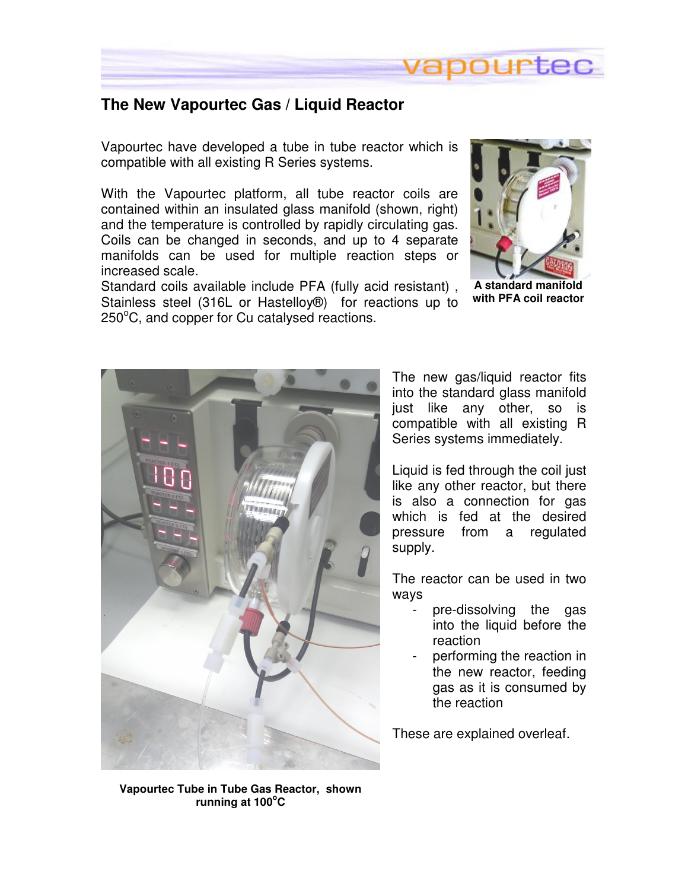

## **The New Vapourtec Gas / Liquid Reactor**

Vapourtec have developed a tube in tube reactor which is compatible with all existing R Series systems.

With the Vapourtec platform, all tube reactor coils are contained within an insulated glass manifold (shown, right) and the temperature is controlled by rapidly circulating gas. Coils can be changed in seconds, and up to 4 separate manifolds can be used for multiple reaction steps or increased scale.

Standard coils available include PFA (fully acid resistant) , Stainless steel (316L or Hastelloy®) for reactions up to  $250^{\circ}$ C, and copper for Cu catalysed reactions.



**A standard manifold with PFA coil reactor**



The new gas/liquid reactor fits into the standard glass manifold just like any other, so is compatible with all existing R Series systems immediately.

Liquid is fed through the coil just like any other reactor, but there is also a connection for gas which is fed at the desired pressure from a regulated supply.

The reactor can be used in two ways

- pre-dissolving the gas into the liquid before the reaction
- performing the reaction in the new reactor, feeding gas as it is consumed by the reaction

These are explained overleaf.

**Vapourtec Tube in Tube Gas Reactor, shown running at 100<sup>o</sup>C**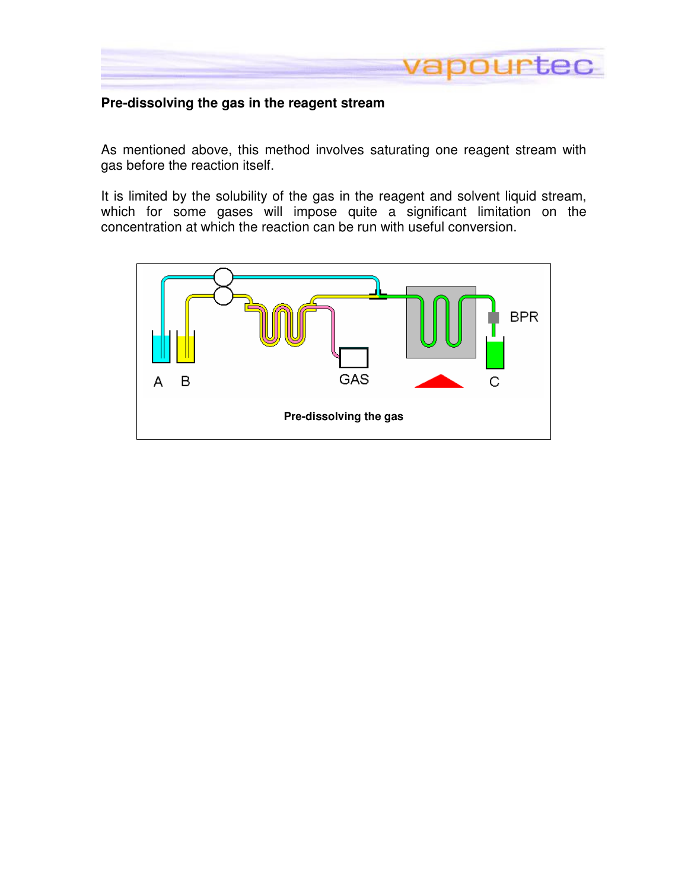

## **Pre-dissolving the gas in the reagent stream**

As mentioned above, this method involves saturating one reagent stream with gas before the reaction itself.

It is limited by the solubility of the gas in the reagent and solvent liquid stream, which for some gases will impose quite a significant limitation on the concentration at which the reaction can be run with useful conversion.

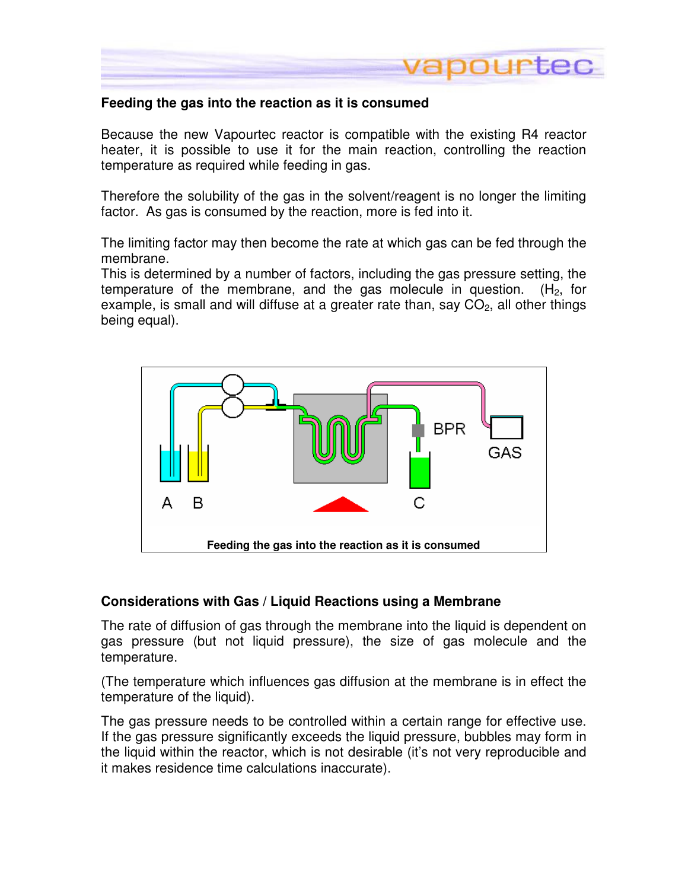

## **Feeding the gas into the reaction as it is consumed**

Because the new Vapourtec reactor is compatible with the existing R4 reactor heater, it is possible to use it for the main reaction, controlling the reaction temperature as required while feeding in gas.

Therefore the solubility of the gas in the solvent/reagent is no longer the limiting factor. As gas is consumed by the reaction, more is fed into it.

The limiting factor may then become the rate at which gas can be fed through the membrane.

This is determined by a number of factors, including the gas pressure setting, the temperature of the membrane, and the gas molecule in question. ( $H_2$ , for example, is small and will diffuse at a greater rate than, say  $CO<sub>2</sub>$ , all other things being equal).



### **Considerations with Gas / Liquid Reactions using a Membrane**

The rate of diffusion of gas through the membrane into the liquid is dependent on gas pressure (but not liquid pressure), the size of gas molecule and the temperature.

(The temperature which influences gas diffusion at the membrane is in effect the temperature of the liquid).

The gas pressure needs to be controlled within a certain range for effective use. If the gas pressure significantly exceeds the liquid pressure, bubbles may form in the liquid within the reactor, which is not desirable (it's not very reproducible and it makes residence time calculations inaccurate).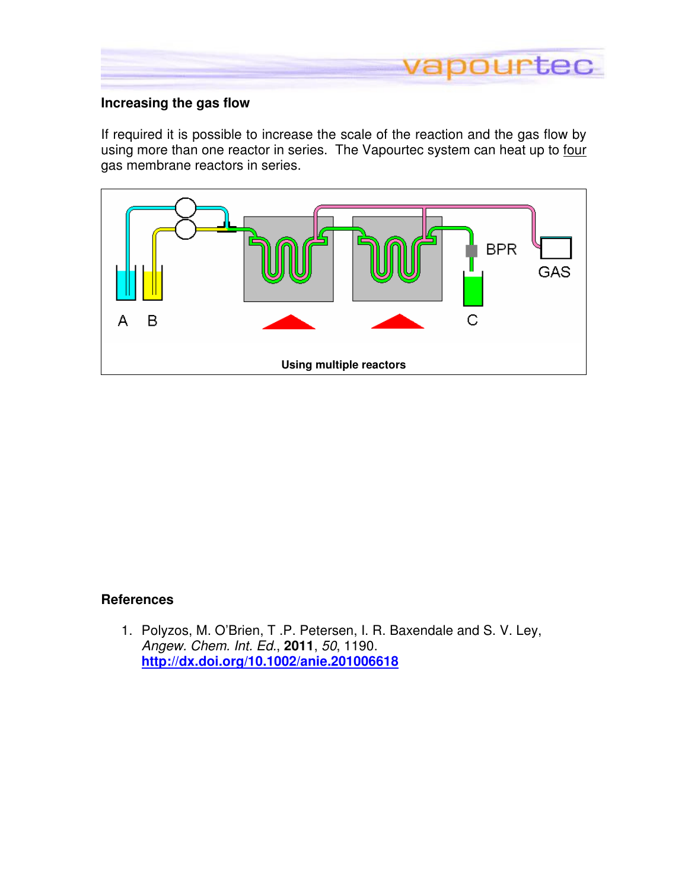

## **Increasing the gas flow**

If required it is possible to increase the scale of the reaction and the gas flow by using more than one reactor in series. The Vapourtec system can heat up to four gas membrane reactors in series.



## **References**

1. Polyzos, M. O'Brien, T .P. Petersen, I. R. Baxendale and S. V. Ley, Angew. Chem. Int. Ed., **2011**, 50, 1190. **http://dx.doi.org/10.1002/anie.201006618**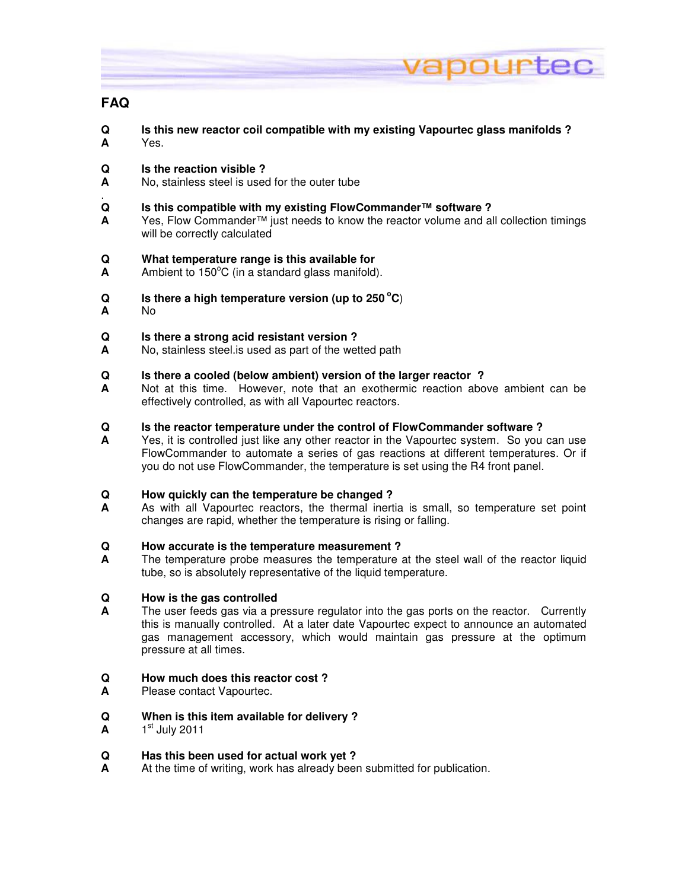

## **FAQ**

- **Q Is this new reactor coil compatible with my existing Vapourtec glass manifolds ? A** Yes.
- **Q Is the reaction visible ?**<br>**A No.** stainless steel is used
- **A** No, stainless steel is used for the outer tube
- . **Q is this compatible with my existing FlowCommander™ software ?**<br>A Yes Flow Commander™ just needs to know the reactor volume and all
- **A** Yes, Flow Commander™ just needs to know the reactor volume and all collection timings will be correctly calculated
- **Q What temperature range is this available for**
- A Ambient to 150<sup>°</sup>C (in a standard glass manifold).
- **Q** Is there a high temperature version (up to 250 °C)
- **A** No

#### **Q Is there a strong acid resistant version ?**

**A** No, stainless steel.is used as part of the wetted path

#### **Q Is there a cooled (below ambient) version of the larger reactor ?**

**A** Not at this time. However, note that an exothermic reaction above ambient can be effectively controlled, as with all Vapourtec reactors.

#### **Q Is the reactor temperature under the control of FlowCommander software ?**

**A** Yes, it is controlled just like any other reactor in the Vapourtec system. So you can use FlowCommander to automate a series of gas reactions at different temperatures. Or if you do not use FlowCommander, the temperature is set using the R4 front panel.

#### **Q How quickly can the temperature be changed ?**

**A** As with all Vapourtec reactors, the thermal inertia is small, so temperature set point changes are rapid, whether the temperature is rising or falling.

#### **Q How accurate is the temperature measurement ?**

**A** The temperature probe measures the temperature at the steel wall of the reactor liquid tube, so is absolutely representative of the liquid temperature.

# **Q** How is the gas controlled<br>**A** The user feeds gas via a pr

**A** The user feeds gas via a pressure regulator into the gas ports on the reactor. Currently this is manually controlled. At a later date Vapourtec expect to announce an automated gas management accessory, which would maintain gas pressure at the optimum pressure at all times.

#### **Q How much does this reactor cost ?**

**A** Please contact Vapourtec.

#### **Q When is this item available for delivery ?**

 $A = 1<sup>st</sup>$  July 2011

#### **Q Has this been used for actual work yet ?**

**A** At the time of writing, work has already been submitted for publication.